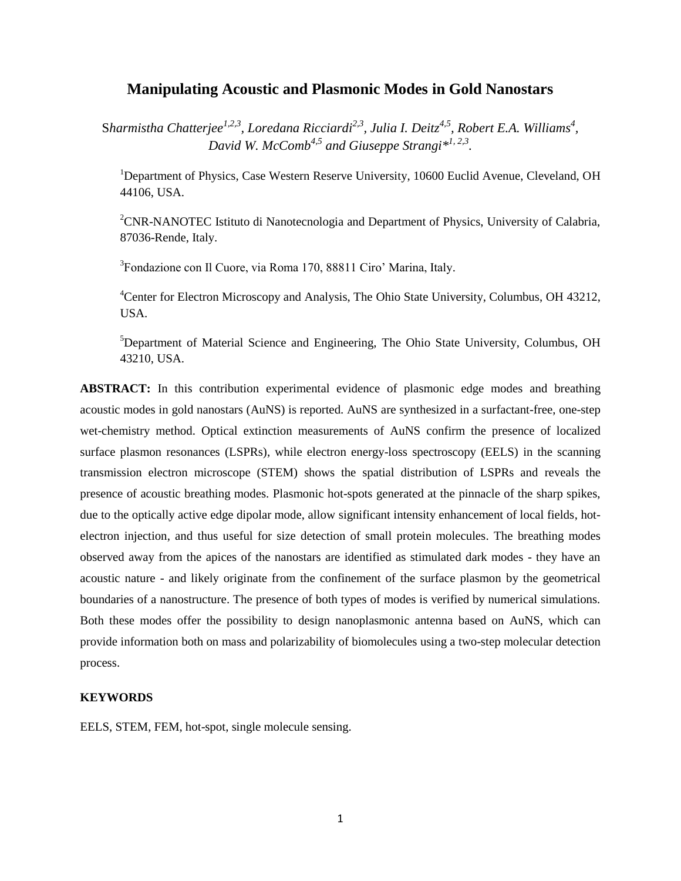# **Manipulating Acoustic and Plasmonic Modes in Gold Nanostars**

S*harmistha Chatterjee1,2,3, Loredana Ricciardi2,3 , Julia I. Deitz4,5 , Robert E.A. Williams<sup>4</sup> , David W. McComb4,5 and Giuseppe Strangi\* 1, 2,3 .*

<sup>1</sup>Department of Physics, Case Western Reserve University, 10600 Euclid Avenue, Cleveland, OH 44106, USA.

<sup>2</sup>CNR-NANOTEC Istituto di Nanotecnologia and Department of Physics, University of Calabria, 87036-Rende, Italy.

3 Fondazione con Il Cuore, via Roma 170, 88811 Ciro' Marina, Italy.

<sup>4</sup>Center for Electron Microscopy and Analysis, The Ohio State University, Columbus, OH 43212, USA.

<sup>5</sup>Department of Material Science and Engineering, The Ohio State University, Columbus, OH 43210, USA.

**ABSTRACT:** In this contribution experimental evidence of plasmonic edge modes and breathing acoustic modes in gold nanostars (AuNS) is reported. AuNS are synthesized in a surfactant-free, one-step wet-chemistry method. Optical extinction measurements of AuNS confirm the presence of localized surface plasmon resonances (LSPRs), while electron energy-loss spectroscopy (EELS) in the scanning transmission electron microscope (STEM) shows the spatial distribution of LSPRs and reveals the presence of acoustic breathing modes. Plasmonic hot-spots generated at the pinnacle of the sharp spikes, due to the optically active edge dipolar mode, allow significant intensity enhancement of local fields, hotelectron injection, and thus useful for size detection of small protein molecules. The breathing modes observed away from the apices of the nanostars are identified as stimulated dark modes - they have an acoustic nature - and likely originate from the confinement of the surface plasmon by the geometrical boundaries of a nanostructure. The presence of both types of modes is verified by numerical simulations. Both these modes offer the possibility to design nanoplasmonic antenna based on AuNS, which can provide information both on mass and polarizability of biomolecules using a two-step molecular detection process.

#### **KEYWORDS**

EELS, STEM, FEM, hot-spot, single molecule sensing.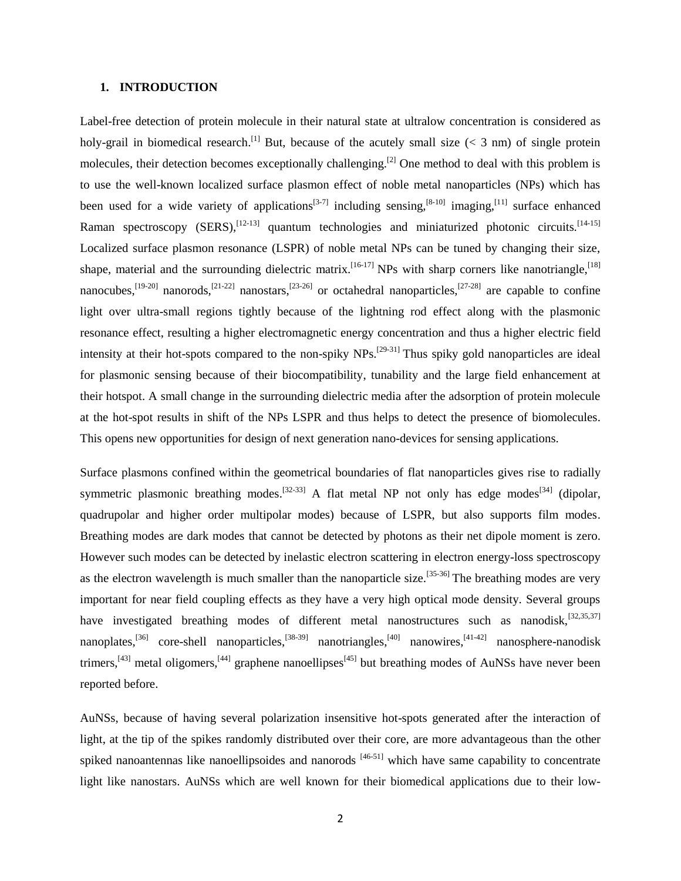#### **1. INTRODUCTION**

Label-free detection of protein molecule in their natural state at ultralow concentration is considered as holy-grail in biomedical research.<sup>[1]</sup> But, because of the acutely small size ( $<$  3 nm) of single protein molecules, their detection becomes exceptionally challenging.<sup>[2]</sup> One method to deal with this problem is to use the well-known localized surface plasmon effect of noble metal nanoparticles (NPs) which has been used for a wide variety of applications<sup>[3-7]</sup> including sensing,<sup>[8-10]</sup> imaging,<sup>[11]</sup> surface enhanced Raman spectroscopy (SERS),<sup>[12-13]</sup> quantum technologies and miniaturized photonic circuits.<sup>[14-15]</sup> Localized surface plasmon resonance (LSPR) of noble metal NPs can be tuned by changing their size, shape, material and the surrounding dielectric matrix.<sup>[16-17]</sup> NPs with sharp corners like nanotriangle,<sup>[18]</sup> nanocubes,<sup>[19-20]</sup> nanorods,<sup>[21-22]</sup> nanostars,<sup>[23-26]</sup> or octahedral nanoparticles,<sup>[27-28]</sup> are capable to confine light over ultra-small regions tightly because of the lightning rod effect along with the plasmonic resonance effect, resulting a higher electromagnetic energy concentration and thus a higher electric field intensity at their hot-spots compared to the non-spiky NPs.<sup>[29-31]</sup> Thus spiky gold nanoparticles are ideal for plasmonic sensing because of their biocompatibility, tunability and the large field enhancement at their hotspot. A small change in the surrounding dielectric media after the adsorption of protein molecule at the hot-spot results in shift of the NPs LSPR and thus helps to detect the presence of biomolecules. This opens new opportunities for design of next generation nano-devices for sensing applications.

Surface plasmons confined within the geometrical boundaries of flat nanoparticles gives rise to radially symmetric plasmonic breathing modes.<sup>[32-33]</sup> A flat metal NP not only has edge modes<sup>[34]</sup> (dipolar, quadrupolar and higher order multipolar modes) because of LSPR, but also supports film modes. Breathing modes are dark modes that cannot be detected by photons as their net dipole moment is zero. However such modes can be detected by inelastic electron scattering in electron energy-loss spectroscopy as the electron wavelength is much smaller than the nanoparticle size.<sup>[35-36]</sup> The breathing modes are very important for near field coupling effects as they have a very high optical mode density. Several groups have investigated breathing modes of different metal nanostructures such as nanodisk,  $[32,35,37]$ nanoplates,<sup>[36]</sup> core-shell nanoparticles,<sup>[38-39]</sup> nanotriangles,<sup>[40]</sup> nanowires,<sup>[41-42]</sup> nanosphere-nanodisk trimers,<sup>[43]</sup> metal oligomers,<sup>[44]</sup> graphene nanoellipses<sup>[45]</sup> but breathing modes of AuNSs have never been reported before.

AuNSs, because of having several polarization insensitive hot-spots generated after the interaction of light, at the tip of the spikes randomly distributed over their core, are more advantageous than the other spiked nanoantennas like nanoellipsoides and nanorods  $[46-51]$  which have same capability to concentrate light like nanostars. AuNSs which are well known for their biomedical applications due to their low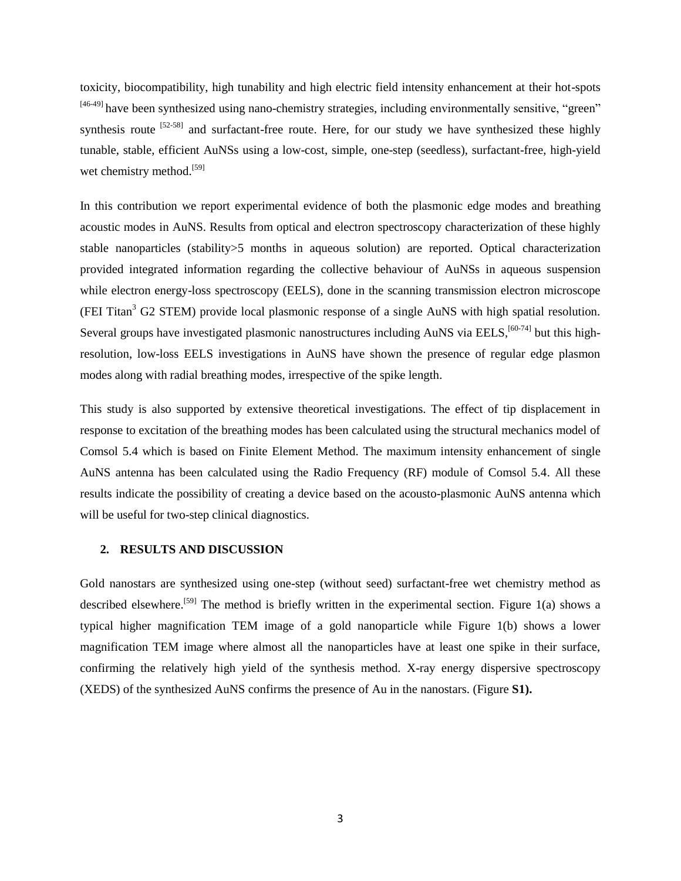toxicity, biocompatibility, high tunability and high electric field intensity enhancement at their hot-spots <sup>[46-49]</sup> have been synthesized using nano-chemistry strategies, including environmentally sensitive, "green" synthesis route  $^{[52-58]}$  and surfactant-free route. Here, for our study we have synthesized these highly tunable, stable, efficient AuNSs using a low-cost, simple, one-step (seedless), surfactant-free, high-yield wet chemistry method.<sup>[59]</sup>

In this contribution we report experimental evidence of both the plasmonic edge modes and breathing acoustic modes in AuNS. Results from optical and electron spectroscopy characterization of these highly stable nanoparticles (stability>5 months in aqueous solution) are reported. Optical characterization provided integrated information regarding the collective behaviour of AuNSs in aqueous suspension while electron energy-loss spectroscopy (EELS), done in the scanning transmission electron microscope (FEI Titan<sup>3</sup> G2 STEM) provide local plasmonic response of a single AuNS with high spatial resolution. Several groups have investigated plasmonic nanostructures including AuNS via EELS,<sup>[60-74]</sup> but this highresolution, low-loss EELS investigations in AuNS have shown the presence of regular edge plasmon modes along with radial breathing modes, irrespective of the spike length.

This study is also supported by extensive theoretical investigations. The effect of tip displacement in response to excitation of the breathing modes has been calculated using the structural mechanics model of Comsol 5.4 which is based on Finite Element Method. The maximum intensity enhancement of single AuNS antenna has been calculated using the Radio Frequency (RF) module of Comsol 5.4. All these results indicate the possibility of creating a device based on the acousto-plasmonic AuNS antenna which will be useful for two-step clinical diagnostics.

# **2. RESULTS AND DISCUSSION**

Gold nanostars are synthesized using one-step (without seed) surfactant-free wet chemistry method as described elsewhere.<sup>[59]</sup> The method is briefly written in the experimental section. Figure 1(a) shows a typical higher magnification TEM image of a gold nanoparticle while Figure 1(b) shows a lower magnification TEM image where almost all the nanoparticles have at least one spike in their surface, confirming the relatively high yield of the synthesis method. X-ray energy dispersive spectroscopy (XEDS) of the synthesized AuNS confirms the presence of Au in the nanostars. (Figure **S1).**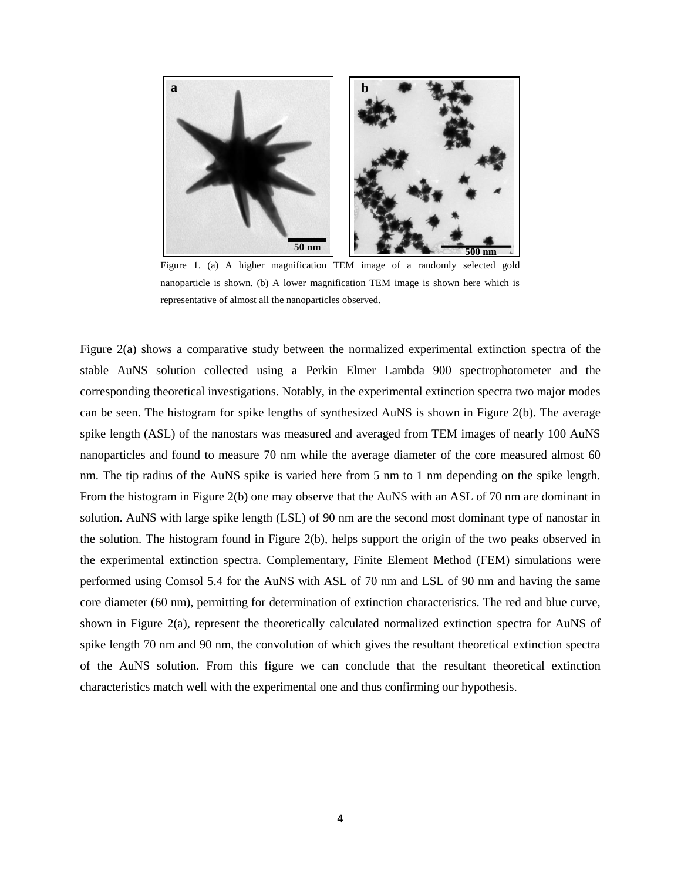

Figure 1. (a) A higher magnification TEM image of a randomly selected gold nanoparticle is shown. (b) A lower magnification TEM image is shown here which is representative of almost all the nanoparticles observed.

Figure 2(a) shows a comparative study between the normalized experimental extinction spectra of the stable AuNS solution collected using a Perkin Elmer Lambda 900 spectrophotometer and the corresponding theoretical investigations. Notably, in the experimental extinction spectra two major modes can be seen. The histogram for spike lengths of synthesized AuNS is shown in Figure 2(b). The average spike length (ASL) of the nanostars was measured and averaged from TEM images of nearly 100 AuNS nanoparticles and found to measure 70 nm while the average diameter of the core measured almost 60 nm. The tip radius of the AuNS spike is varied here from 5 nm to 1 nm depending on the spike length. From the histogram in Figure 2(b) one may observe that the AuNS with an ASL of 70 nm are dominant in solution. AuNS with large spike length (LSL) of 90 nm are the second most dominant type of nanostar in the solution. The histogram found in Figure 2(b), helps support the origin of the two peaks observed in the experimental extinction spectra. Complementary, Finite Element Method (FEM) simulations were performed using Comsol 5.4 for the AuNS with ASL of 70 nm and LSL of 90 nm and having the same core diameter (60 nm), permitting for determination of extinction characteristics. The red and blue curve, shown in Figure 2(a), represent the theoretically calculated normalized extinction spectra for AuNS of spike length 70 nm and 90 nm, the convolution of which gives the resultant theoretical extinction spectra of the AuNS solution. From this figure we can conclude that the resultant theoretical extinction characteristics match well with the experimental one and thus confirming our hypothesis.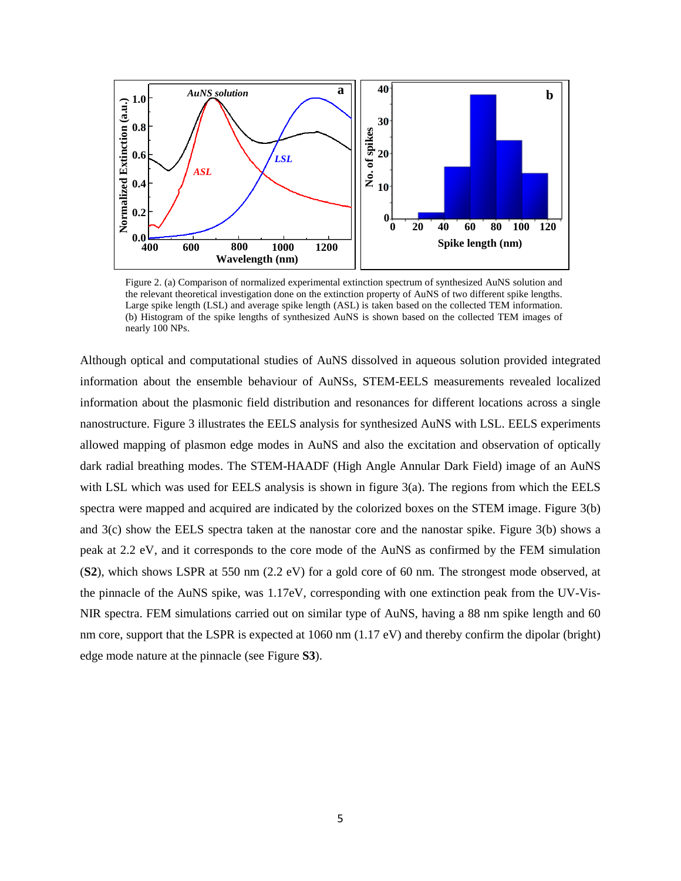

Figure 2. (a) Comparison of normalized experimental extinction spectrum of synthesized AuNS solution and the relevant theoretical investigation done on the extinction property of AuNS of two different spike lengths. Large spike length (LSL) and average spike length (ASL) is taken based on the collected TEM information. (b) Histogram of the spike lengths of synthesized AuNS is shown based on the collected TEM images of nearly 100 NPs.

Although optical and computational studies of AuNS dissolved in aqueous solution provided integrated information about the ensemble behaviour of AuNSs, STEM-EELS measurements revealed localized information about the plasmonic field distribution and resonances for different locations across a single nanostructure. Figure 3 illustrates the EELS analysis for synthesized AuNS with LSL. EELS experiments allowed mapping of plasmon edge modes in AuNS and also the excitation and observation of optically dark radial breathing modes. The STEM-HAADF (High Angle Annular Dark Field) image of an AuNS with LSL which was used for EELS analysis is shown in figure  $3(a)$ . The regions from which the EELS spectra were mapped and acquired are indicated by the colorized boxes on the STEM image. Figure 3(b) and 3(c) show the EELS spectra taken at the nanostar core and the nanostar spike. Figure 3(b) shows a peak at 2.2 eV, and it corresponds to the core mode of the AuNS as confirmed by the FEM simulation (**S2**), which shows LSPR at 550 nm (2.2 eV) for a gold core of 60 nm. The strongest mode observed, at the pinnacle of the AuNS spike, was 1.17eV, corresponding with one extinction peak from the UV-Vis-NIR spectra. FEM simulations carried out on similar type of AuNS, having a 88 nm spike length and 60 nm core, support that the LSPR is expected at 1060 nm (1.17 eV) and thereby confirm the dipolar (bright) edge mode nature at the pinnacle (see Figure **S3**).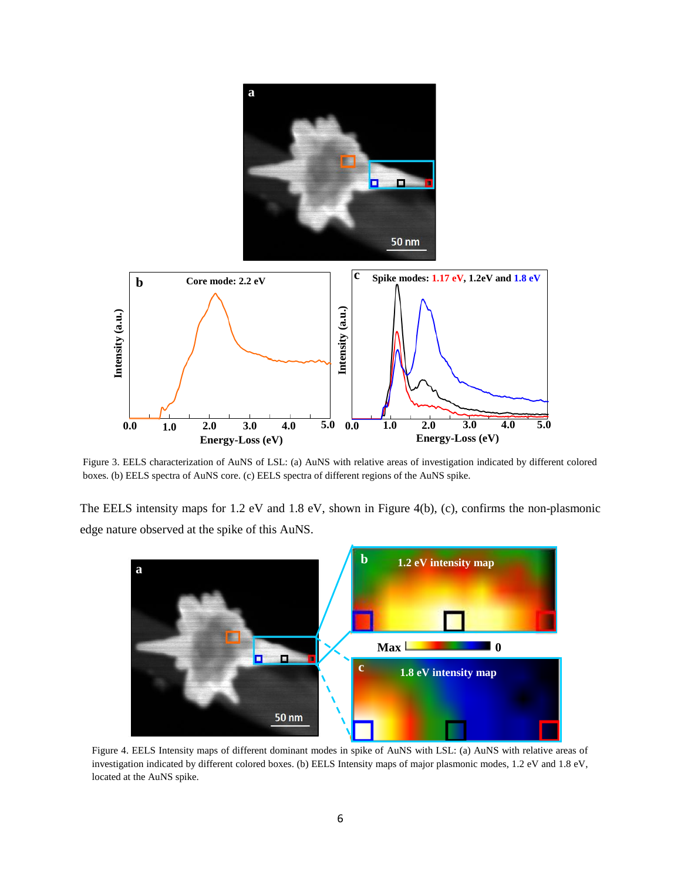

Figure 3. EELS characterization of AuNS of LSL: (a) AuNS with relative areas of investigation indicated by different colored boxes. (b) EELS spectra of AuNS core. (c) EELS spectra of different regions of the AuNS spike.

The EELS intensity maps for 1.2 eV and 1.8 eV, shown in Figure 4(b), (c), confirms the non-plasmonic



Figure 4. EELS Intensity maps of different dominant modes in spike of AuNS with LSL: (a) AuNS with relative areas of investigation indicated by different colored boxes. (b) EELS Intensity maps of major plasmonic modes, 1.2 eV and 1.8 eV, located at the AuNS spike.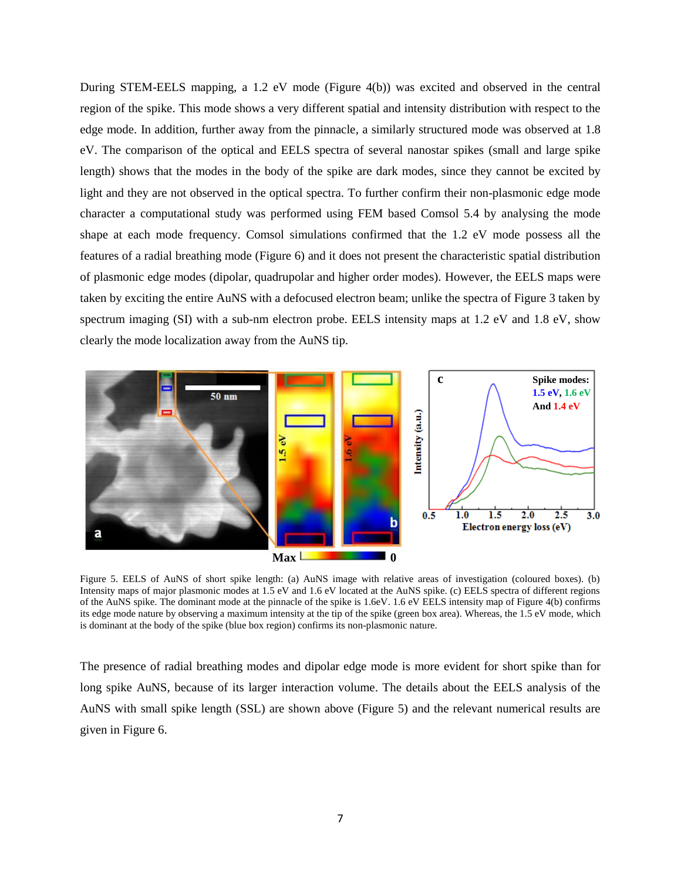During STEM-EELS mapping, a 1.2 eV mode (Figure 4(b)) was excited and observed in the central region of the spike. This mode shows a very different spatial and intensity distribution with respect to the edge mode. In addition, further away from the pinnacle, a similarly structured mode was observed at 1.8 eV. The comparison of the optical and EELS spectra of several nanostar spikes (small and large spike length) shows that the modes in the body of the spike are dark modes, since they cannot be excited by light and they are not observed in the optical spectra. To further confirm their non-plasmonic edge mode character a computational study was performed using FEM based Comsol 5.4 by analysing the mode shape at each mode frequency. Comsol simulations confirmed that the 1.2 eV mode possess all the features of a radial breathing mode (Figure 6) and it does not present the characteristic spatial distribution of plasmonic edge modes (dipolar, quadrupolar and higher order modes). However, the EELS maps were taken by exciting the entire AuNS with a defocused electron beam; unlike the spectra of Figure 3 taken by spectrum imaging (SI) with a sub-nm electron probe. EELS intensity maps at 1.2 eV and 1.8 eV, show clearly the mode localization away from the AuNS tip.



Figure 5. EELS of AuNS of short spike length: (a) AuNS image with relative areas of investigation (coloured boxes). (b) Intensity maps of major plasmonic modes at 1.5 eV and 1.6 eV located at the AuNS spike. (c) EELS spectra of different regions of the AuNS spike. The dominant mode at the pinnacle of the spike is 1.6eV. 1.6 eV EELS intensity map of Figure 4(b) confirms its edge mode nature by observing a maximum intensity at the tip of the spike (green box area). Whereas, the 1.5 eV mode, which is dominant at the body of the spike (blue box region) confirms its non-plasmonic nature.

The presence of radial breathing modes and dipolar edge mode is more evident for short spike than for long spike AuNS, because of its larger interaction volume. The details about the EELS analysis of the AuNS with small spike length (SSL) are shown above (Figure 5) and the relevant numerical results are given in Figure 6.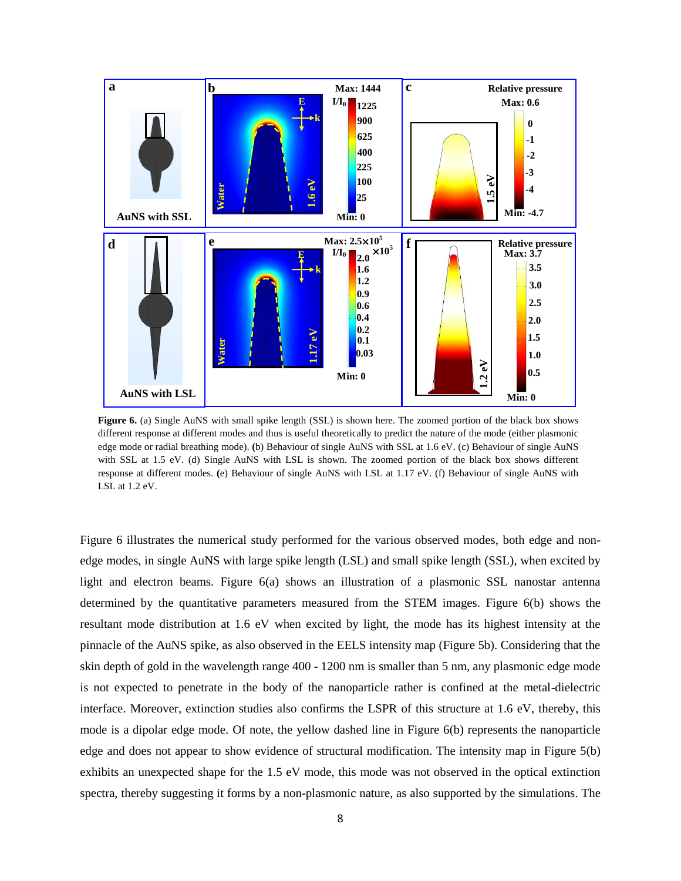

**Figure 6.** (a) Single AuNS with small spike length (SSL) is shown here. The zoomed portion of the black box shows different response at different modes and thus is useful theoretically to predict the nature of the mode (either plasmonic edge mode or radial breathing mode). **(**b) Behaviour of single AuNS with SSL at 1.6 eV. (c) Behaviour of single AuNS with SSL at 1.5 eV. (d) Single AuNS with LSL is shown. The zoomed portion of the black box shows different response at different modes. **(**e) Behaviour of single AuNS with LSL at 1.17 eV. (f) Behaviour of single AuNS with LSL at 1.2 eV.

Figure 6 illustrates the numerical study performed for the various observed modes, both edge and nonedge modes, in single AuNS with large spike length (LSL) and small spike length (SSL), when excited by light and electron beams. Figure 6(a) shows an illustration of a plasmonic SSL nanostar antenna determined by the quantitative parameters measured from the STEM images. Figure 6(b) shows the resultant mode distribution at 1.6 eV when excited by light, the mode has its highest intensity at the pinnacle of the AuNS spike, as also observed in the EELS intensity map (Figure 5b). Considering that the skin depth of gold in the wavelength range 400 - 1200 nm is smaller than 5 nm, any plasmonic edge mode is not expected to penetrate in the body of the nanoparticle rather is confined at the metal-dielectric interface. Moreover, extinction studies also confirms the LSPR of this structure at 1.6 eV, thereby, this mode is a dipolar edge mode. Of note, the yellow dashed line in Figure 6(b) represents the nanoparticle edge and does not appear to show evidence of structural modification. The intensity map in Figure 5(b) exhibits an unexpected shape for the 1.5 eV mode, this mode was not observed in the optical extinction spectra, thereby suggesting it forms by a non-plasmonic nature, as also supported by the simulations. The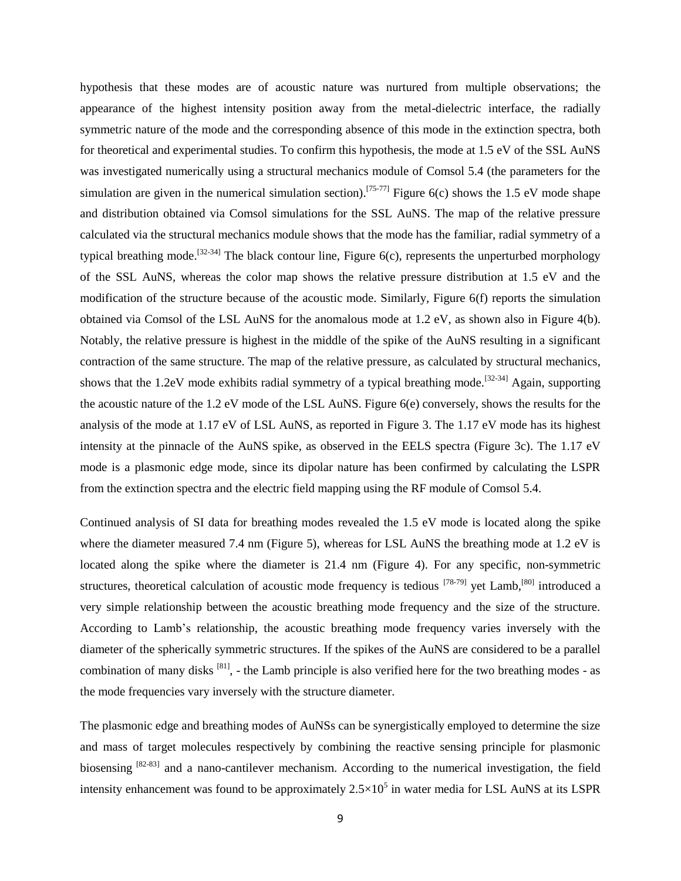hypothesis that these modes are of acoustic nature was nurtured from multiple observations; the appearance of the highest intensity position away from the metal-dielectric interface, the radially symmetric nature of the mode and the corresponding absence of this mode in the extinction spectra, both for theoretical and experimental studies. To confirm this hypothesis, the mode at 1.5 eV of the SSL AuNS was investigated numerically using a structural mechanics module of Comsol 5.4 (the parameters for the simulation are given in the numerical simulation section).<sup>[75-77]</sup> Figure 6(c) shows the 1.5 eV mode shape and distribution obtained via Comsol simulations for the SSL AuNS. The map of the relative pressure calculated via the structural mechanics module shows that the mode has the familiar, radial symmetry of a typical breathing mode.<sup>[32-34]</sup> The black contour line, Figure  $6(c)$ , represents the unperturbed morphology of the SSL AuNS, whereas the color map shows the relative pressure distribution at 1.5 eV and the modification of the structure because of the acoustic mode. Similarly, Figure 6(f) reports the simulation obtained via Comsol of the LSL AuNS for the anomalous mode at 1.2 eV, as shown also in Figure 4(b). Notably, the relative pressure is highest in the middle of the spike of the AuNS resulting in a significant contraction of the same structure. The map of the relative pressure, as calculated by structural mechanics, shows that the 1.2eV mode exhibits radial symmetry of a typical breathing mode.<sup>[32-34]</sup> Again, supporting the acoustic nature of the 1.2 eV mode of the LSL AuNS. Figure 6(e) conversely, shows the results for the analysis of the mode at 1.17 eV of LSL AuNS, as reported in Figure 3. The 1.17 eV mode has its highest intensity at the pinnacle of the AuNS spike, as observed in the EELS spectra (Figure 3c). The 1.17 eV mode is a plasmonic edge mode, since its dipolar nature has been confirmed by calculating the LSPR from the extinction spectra and the electric field mapping using the RF module of Comsol 5.4.

Continued analysis of SI data for breathing modes revealed the 1.5 eV mode is located along the spike where the diameter measured 7.4 nm (Figure 5), whereas for LSL AuNS the breathing mode at 1.2 eV is located along the spike where the diameter is 21.4 nm (Figure 4). For any specific, non-symmetric structures, theoretical calculation of acoustic mode frequency is tedious <sup>[78-79]</sup> yet Lamb,<sup>[80]</sup> introduced a very simple relationship between the acoustic breathing mode frequency and the size of the structure. According to Lamb's relationship, the acoustic breathing mode frequency varies inversely with the diameter of the spherically symmetric structures. If the spikes of the AuNS are considered to be a parallel combination of many disks  $[81]$ , - the Lamb principle is also verified here for the two breathing modes - as the mode frequencies vary inversely with the structure diameter.

The plasmonic edge and breathing modes of AuNSs can be synergistically employed to determine the size and mass of target molecules respectively by combining the reactive sensing principle for plasmonic biosensing <sup>[82-83]</sup> and a nano-cantilever mechanism. According to the numerical investigation, the field intensity enhancement was found to be approximately  $2.5 \times 10^5$  in water media for LSL AuNS at its LSPR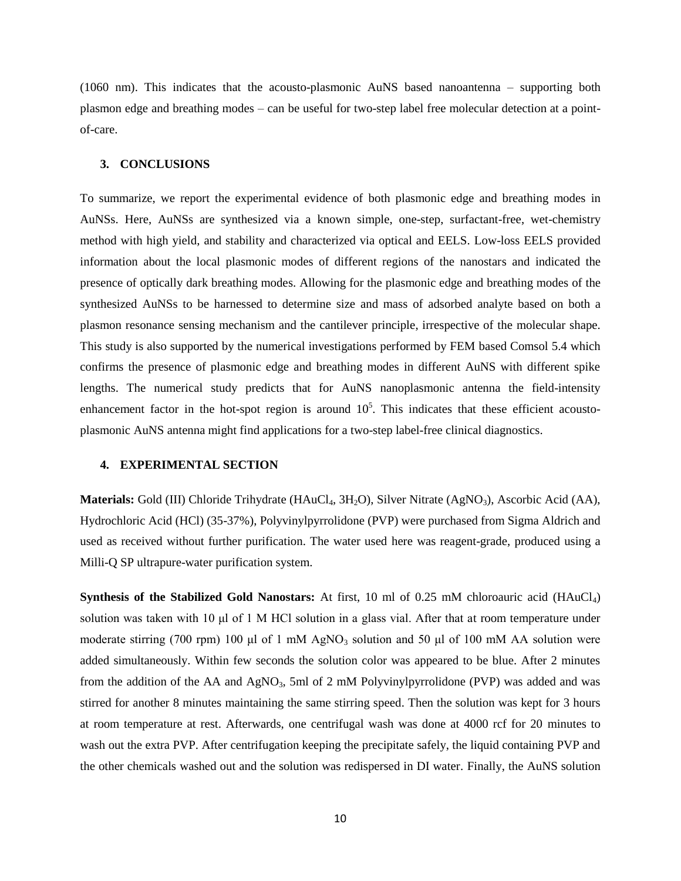(1060 nm). This indicates that the acousto-plasmonic AuNS based nanoantenna – supporting both plasmon edge and breathing modes – can be useful for two-step label free molecular detection at a pointof-care.

#### **3. CONCLUSIONS**

To summarize, we report the experimental evidence of both plasmonic edge and breathing modes in AuNSs. Here, AuNSs are synthesized via a known simple, one-step, surfactant-free, wet-chemistry method with high yield, and stability and characterized via optical and EELS. Low-loss EELS provided information about the local plasmonic modes of different regions of the nanostars and indicated the presence of optically dark breathing modes. Allowing for the plasmonic edge and breathing modes of the synthesized AuNSs to be harnessed to determine size and mass of adsorbed analyte based on both a plasmon resonance sensing mechanism and the cantilever principle, irrespective of the molecular shape. This study is also supported by the numerical investigations performed by FEM based Comsol 5.4 which confirms the presence of plasmonic edge and breathing modes in different AuNS with different spike lengths. The numerical study predicts that for AuNS nanoplasmonic antenna the field-intensity enhancement factor in the hot-spot region is around  $10<sup>5</sup>$ . This indicates that these efficient acoustoplasmonic AuNS antenna might find applications for a two-step label-free clinical diagnostics.

# **4. EXPERIMENTAL SECTION**

**Materials:** Gold (III) Chloride Trihydrate (HAuCl<sub>4</sub>, 3H<sub>2</sub>O), Silver Nitrate (AgNO<sub>3</sub>), Ascorbic Acid (AA), Hydrochloric Acid (HCl) (35-37%), Polyvinylpyrrolidone (PVP) were purchased from Sigma Aldrich and used as received without further purification. The water used here was reagent-grade, produced using a Milli-Q SP ultrapure-water purification system.

**Synthesis of the Stabilized Gold Nanostars:** At first, 10 ml of 0.25 mM chloroauric acid (HAuCl4) solution was taken with 10 μl of 1 M HCl solution in a glass vial. After that at room temperature under moderate stirring (700 rpm) 100 μl of 1 mM AgNO<sub>3</sub> solution and 50 μl of 100 mM AA solution were added simultaneously. Within few seconds the solution color was appeared to be blue. After 2 minutes from the addition of the AA and AgNO<sub>3</sub>, 5ml of 2 mM Polyvinylpyrrolidone (PVP) was added and was stirred for another 8 minutes maintaining the same stirring speed. Then the solution was kept for 3 hours at room temperature at rest. Afterwards, one centrifugal wash was done at 4000 rcf for 20 minutes to wash out the extra PVP. After centrifugation keeping the precipitate safely, the liquid containing PVP and the other chemicals washed out and the solution was redispersed in DI water. Finally, the AuNS solution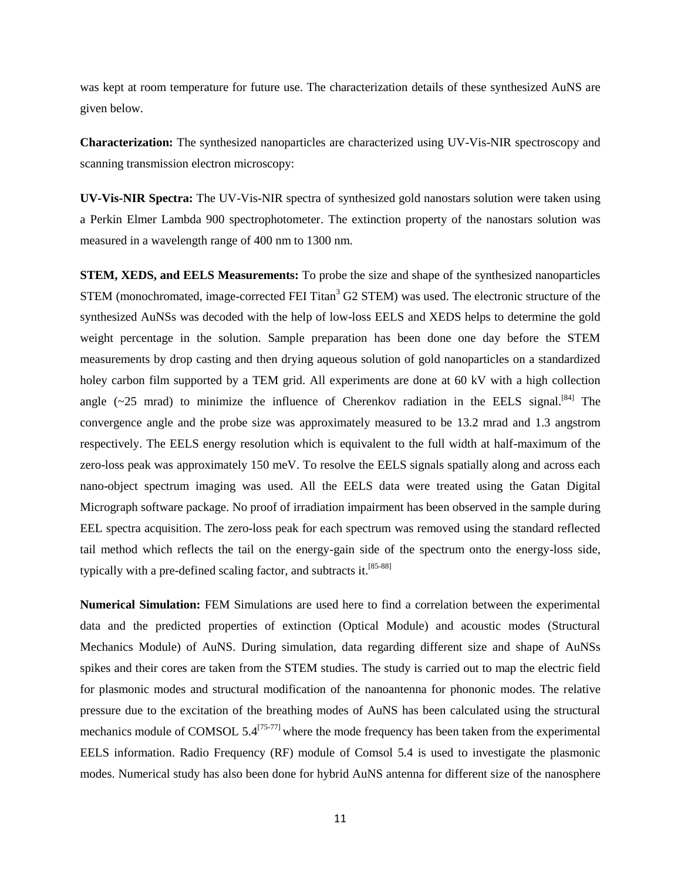was kept at room temperature for future use. The characterization details of these synthesized AuNS are given below.

**Characterization:** The synthesized nanoparticles are characterized using UV-Vis-NIR spectroscopy and scanning transmission electron microscopy:

**UV-Vis-NIR Spectra:** The UV-Vis-NIR spectra of synthesized gold nanostars solution were taken using a Perkin Elmer Lambda 900 spectrophotometer. The extinction property of the nanostars solution was measured in a wavelength range of 400 nm to 1300 nm.

**STEM, XEDS, and EELS Measurements:** To probe the size and shape of the synthesized nanoparticles STEM (monochromated, image-corrected FEI Titan<sup>3</sup> G2 STEM) was used. The electronic structure of the synthesized AuNSs was decoded with the help of low-loss EELS and XEDS helps to determine the gold weight percentage in the solution. Sample preparation has been done one day before the STEM measurements by drop casting and then drying aqueous solution of gold nanoparticles on a standardized holey carbon film supported by a TEM grid. All experiments are done at 60 kV with a high collection angle  $(\sim 25 \text{ mrad})$  to minimize the influence of Cherenkov radiation in the EELS signal.<sup>[84]</sup> The convergence angle and the probe size was approximately measured to be 13.2 mrad and 1.3 angstrom respectively. The EELS energy resolution which is equivalent to the full width at half-maximum of the zero-loss peak was approximately 150 meV. To resolve the EELS signals spatially along and across each nano-object spectrum imaging was used. All the EELS data were treated using the Gatan Digital Micrograph software package. No proof of irradiation impairment has been observed in the sample during EEL spectra acquisition. The zero-loss peak for each spectrum was removed using the standard reflected tail method which reflects the tail on the energy-gain side of the spectrum onto the energy-loss side, typically with a pre-defined scaling factor, and subtracts it.<sup>[85-88]</sup>

**Numerical Simulation:** FEM Simulations are used here to find a correlation between the experimental data and the predicted properties of extinction (Optical Module) and acoustic modes (Structural Mechanics Module) of AuNS. During simulation, data regarding different size and shape of AuNSs spikes and their cores are taken from the STEM studies. The study is carried out to map the electric field for plasmonic modes and structural modification of the nanoantenna for phononic modes. The relative pressure due to the excitation of the breathing modes of AuNS has been calculated using the structural mechanics module of COMSOL  $5.4^{[75-77]}$  where the mode frequency has been taken from the experimental EELS information. Radio Frequency (RF) module of Comsol 5.4 is used to investigate the plasmonic modes. Numerical study has also been done for hybrid AuNS antenna for different size of the nanosphere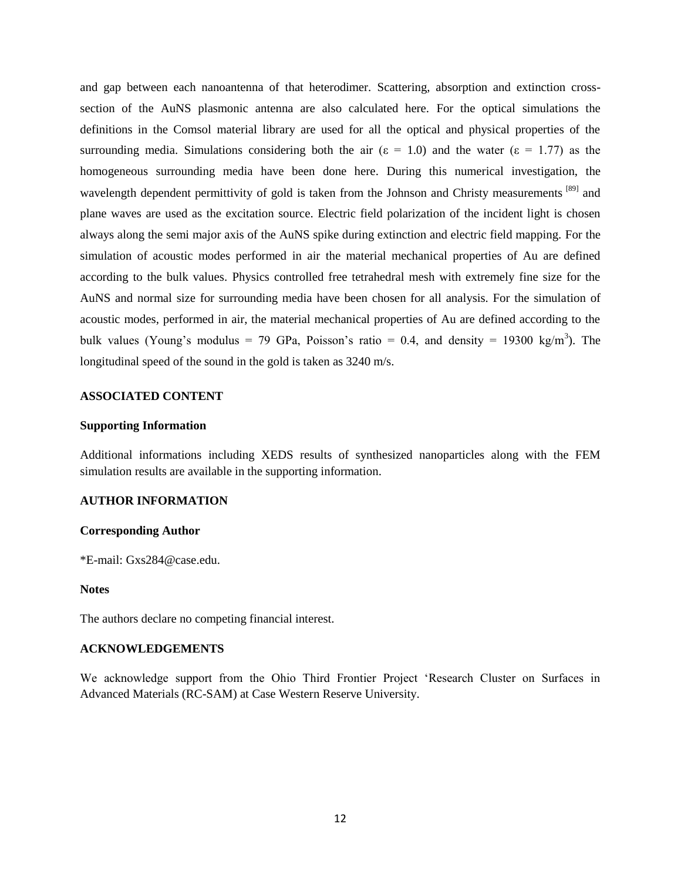and gap between each nanoantenna of that heterodimer. Scattering, absorption and extinction crosssection of the AuNS plasmonic antenna are also calculated here. For the optical simulations the definitions in the Comsol material library are used for all the optical and physical properties of the surrounding media. Simulations considering both the air ( $\varepsilon = 1.0$ ) and the water ( $\varepsilon = 1.77$ ) as the homogeneous surrounding media have been done here. During this numerical investigation, the wavelength dependent permittivity of gold is taken from the Johnson and Christy measurements [89] and plane waves are used as the excitation source. Electric field polarization of the incident light is chosen always along the semi major axis of the AuNS spike during extinction and electric field mapping. For the simulation of acoustic modes performed in air the material mechanical properties of Au are defined according to the bulk values. Physics controlled free tetrahedral mesh with extremely fine size for the AuNS and normal size for surrounding media have been chosen for all analysis. For the simulation of acoustic modes, performed in air, the material mechanical properties of Au are defined according to the bulk values (Young's modulus = 79 GPa, Poisson's ratio = 0.4, and density = 19300 kg/m<sup>3</sup>). The longitudinal speed of the sound in the gold is taken as 3240 m/s.

## **ASSOCIATED CONTENT**

### **Supporting Information**

Additional informations including XEDS results of synthesized nanoparticles along with the FEM simulation results are available in the supporting information.

# **AUTHOR INFORMATION**

### **Corresponding Author**

\*E-mail: [Gxs284@case.edu.](mailto:Gxs284@case.edu)

### **Notes**

The authors declare no competing financial interest.

### **ACKNOWLEDGEMENTS**

We acknowledge support from the Ohio Third Frontier Project 'Research Cluster on Surfaces in Advanced Materials (RC-SAM) at Case Western Reserve University.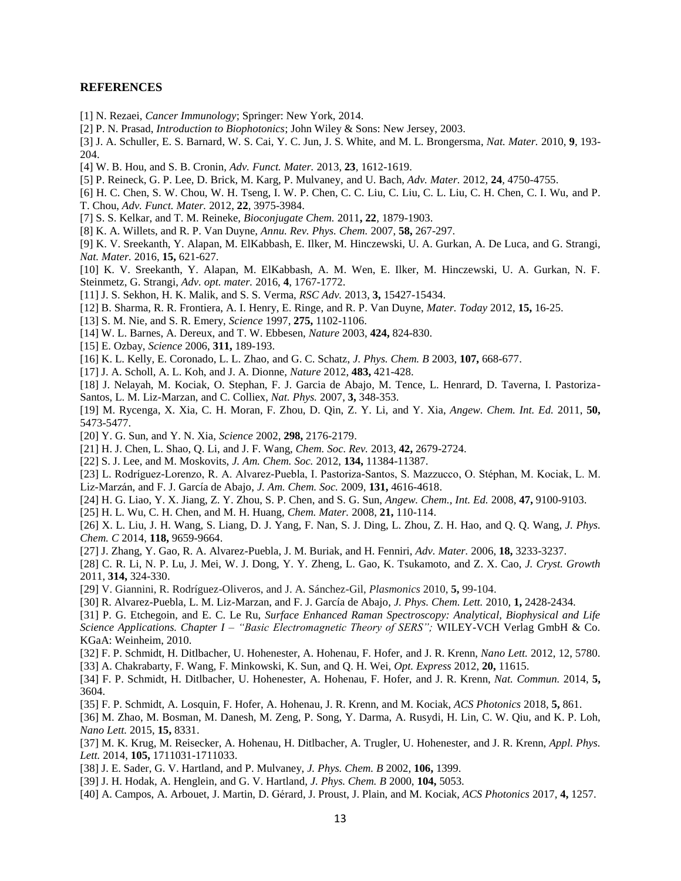#### **REFERENCES**

- [1] N. Rezaei, *Cancer Immunology*; Springer: New York, 2014.
- [2] P. N. Prasad, *Introduction to Biophotonics*; John Wiley & Sons: New Jersey, 2003.
- [3] J. A. Schuller, E. S. Barnard, W. S. Cai, Y. C. Jun, J. S. White, and M. L. Brongersma, *Nat. Mater.* 2010, **9***,* 193- 204.
- [4] W. B. Hou, and S. B. Cronin, *Adv. Funct. Mater.* 2013, **23***,* 1612-1619.
- [5] P. Reineck, G. P. Lee, D. Brick, M. Karg, P. Mulvaney, and U. Bach, *Adv. Mater.* 2012, **24***,* 4750-4755.
- [6] H. C. Chen, S. W. Chou, W. H. Tseng, I. W. P. Chen, C. C. Liu, C. Liu, C. L. Liu, C. H. Chen, C. I. Wu, and P. T. Chou, *Adv. Funct. Mater.* 2012, **22***,* 3975-3984.
- [7] S. S. Kelkar, and T. M. Reineke, *Bioconjugate Chem.* 2011**, 22***,* 1879-1903.
- [8] K. A. Willets, and R. P. Van Duyne, *Annu. Rev. Phys. Chem.* 2007, **58,** 267-297.
- [9] K. V. Sreekanth, Y. Alapan, M. ElKabbash, E. Ilker, M. Hinczewski, U. A. Gurkan, A. De Luca, and G. Strangi, *Nat. Mater.* 2016, **15,** 621-627.
- [10] K. V. Sreekanth, Y. Alapan, M. ElKabbash, A. M. Wen, E. Ilker, M. Hinczewski, U. A. Gurkan, N. F. Steinmetz, G. Strangi, *Adv. opt. mater.* 2016, **4**, 1767-1772.
- [11] J. S. Sekhon, H. K. Malik, and S. S. Verma, *RSC Adv.* 2013, **3,** 15427-15434.
- [12] B. Sharma, R. R. Frontiera, A. I. Henry, E. Ringe, and R. P. Van Duyne, *Mater. Today* 2012, **15,** 16-25.
- [13] S. M. Nie, and S. R. Emery, *Science* 1997, **275,** 1102-1106.
- [14] W. L. Barnes, A. Dereux, and T. W. Ebbesen, *Nature* 2003, **424,** 824-830.
- [15] E. Ozbay, *Science* 2006, **311,** 189-193.
- [16] K. L. Kelly, E. Coronado, L. L. Zhao, and G. C. Schatz, *J. Phys. Chem. B* 2003, **107,** 668-677.
- [17] J. A. Scholl, A. L. Koh, and J. A. Dionne, *Nature* 2012, **483,** 421-428.
- [18] J. Nelayah, M. Kociak, O. Stephan, F. J. Garcia de Abajo, M. Tence, L. Henrard, D. Taverna, I. Pastoriza-Santos, L. M. Liz-Marzan, and C. Colliex, *Nat. Phys.* 2007, **3,** 348-353.
- [19] M. Rycenga, X. Xia, C. H. Moran, F. Zhou, D. Qin, Z. Y. Li, and Y. Xia, *Angew. Chem. Int. Ed.* 2011, **50,** 5473-5477.
- [20] Y. G. Sun, and Y. N. Xia, *Science* 2002, **298,** 2176-2179.
- [21] H. J. Chen, L. Shao, Q. Li, and J. F. Wang, *Chem. Soc. Rev.* 2013, **42,** 2679-2724.
- [22] S. J. Lee, and M. Moskovits, *J. Am. Chem. Soc.* 2012, **134,** 11384-11387.
- [23] L. Rodríguez-Lorenzo, R. A. Alvarez-Puebla, I. Pastoriza-Santos, S. Mazzucco, O. Stéphan, M. Kociak, L. M. Liz-Marz n, and F. J. García de Abajo, *J. Am. Chem. Soc.* 2009, **131,** 4616-4618.
- 
- [24] H. G. Liao, Y. X. Jiang, Z. Y. Zhou, S. P. Chen, and S. G. Sun, *Angew. Chem., Int. Ed.* 2008, **47,** 9100-9103.
- [25] H. L. Wu, C. H. Chen, and M. H. Huang, *Chem. Mater.* 2008, **21,** 110-114.
- [26] X. L. Liu, J. H. Wang, S. Liang, D. J. Yang, F. Nan, S. J. Ding, L. Zhou, Z. H. Hao, and Q. Q. Wang, *J. Phys. Chem. C* 2014, **118,** 9659-9664.
- [27] J. Zhang, Y. Gao, R. A. Alvarez-Puebla, J. M. Buriak, and H. Fenniri, *Adv. Mater.* 2006, **18,** 3233-3237.
- [28] C. R. Li, N. P. Lu, J. Mei, W. J. Dong, Y. Y. Zheng, L. Gao, K. Tsukamoto, and Z. X. Cao, *J. Cryst. Growth* 2011, **314,** 324-330.
- [29] V. Giannini, R. Rodríguez-Oliveros, and J. A. Sánchez-Gil, *Plasmonics* 2010, **5,** 99-104.
- [30] R. Alvarez-Puebla, L. M. Liz-Marzan, and F. J. García de Abajo, *J. Phys. Chem. Lett.* 2010, **1,** 2428-2434.
- [31] P. G. Etchegoin, and E. C. Le Ru, *Surface Enhanced Raman Spectroscopy: Analytical, Biophysical and Life Science Applications. Chapter I – "Basic Electromagnetic Theory of SERS";* WILEY-VCH Verlag GmbH & Co. KGaA: Weinheim, 2010.
- [32] F. P. Schmidt, H. Ditlbacher, U. Hohenester, A. Hohenau, F. Hofer, and J. R. Krenn, *Nano Lett.* 2012, 12, 5780.
- [33] A. Chakrabarty, F. Wang, F. Minkowski, K. Sun, and Q. H. Wei, *Opt. Express* 2012, **20,** 11615.
- [34] F. P. Schmidt, H. Ditlbacher, U. Hohenester, A. Hohenau, F. Hofer, and J. R. Krenn, *Nat. Commun.* 2014, **5,** 3604.
- [35] F. P. Schmidt, A. Losquin, F. Hofer, A. Hohenau, J. R. Krenn, and M. Kociak, *ACS Photonics* 2018, **5,** 861.
- [36] M. Zhao, M. Bosman, M. Danesh, M. Zeng, P. Song, Y. Darma, A. Rusydi, H. Lin, C. W. Qiu, and K. P. Loh, *Nano Lett.* 2015, **15,** 8331.
- [37] M. K. Krug, M. Reisecker, A. Hohenau, H. Ditlbacher, A. Trugler, U. Hohenester, and J. R. Krenn, *Appl. Phys. Lett.* 2014, **105,** 1711031-1711033.
- [38] J. E. Sader, G. V. Hartland, and P. Mulvaney, *J. Phys. Chem. B* 2002, **106,** 1399.
- [39] J. H. Hodak, A. Henglein, and G. V. Hartland, *J. Phys. Chem. B* 2000, **104,** 5053.
- [40] A. Campos, A. Arbouet, J. Martin, D. Gérard, J. Proust, J. Plain, and M. Kociak, *ACS Photonics* 2017, 4, 1257.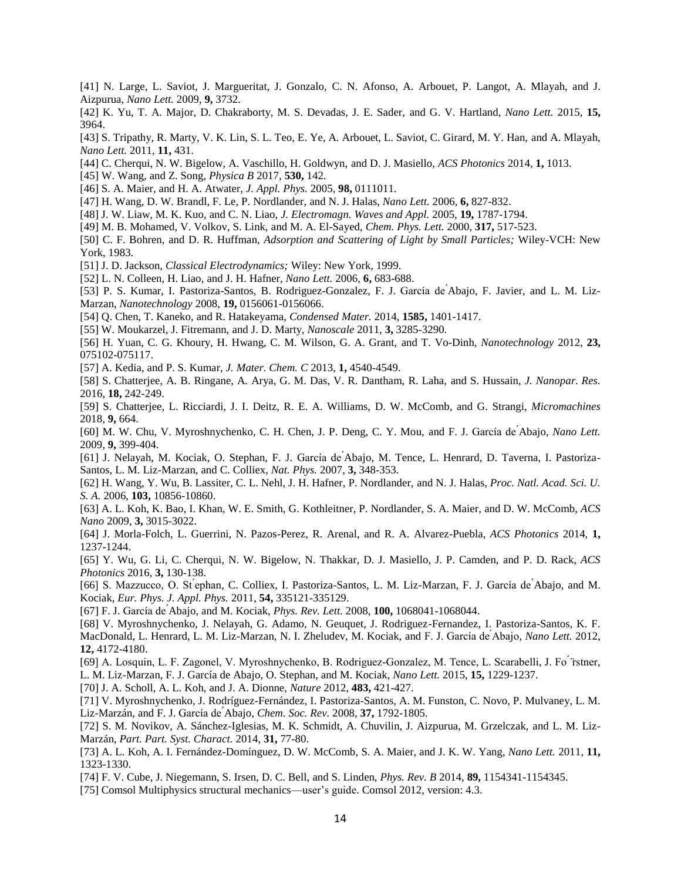- [41] N. Large, L. Saviot, J. Margueritat, J. Gonzalo, C. N. Afonso, A. Arbouet, P. Langot, A. Mlayah, and J. Aizpurua, *Nano Lett.* 2009, **9,** 3732.
- [42] K. Yu, T. A. Major, D. Chakraborty, M. S. Devadas, J. E. Sader, and G. V. Hartland, *Nano Lett.* 2015, **15,** 3964.
- [43] S. Tripathy, R. Marty, V. K. Lin, S. L. Teo, E. Ye, A. Arbouet, L. Saviot, C. Girard, M. Y. Han, and A. Mlayah, *Nano Lett.* 2011, **11,** 431.
- [44] C. Cherqui, N. W. Bigelow, A. Vaschillo, H. Goldwyn, and D. J. Masiello, *ACS Photonics* 2014, **1,** 1013.
- [45] W. Wang, and Z. Song, *Physica B* 2017, **530,** 142.
- [46] S. A. Maier, and H. A. Atwater, *J. Appl. Phys.* 2005, **98,** 0111011.
- [47] H. Wang, D. W. Brandl, F. Le, P. Nordlander, and N. J. Halas, *Nano Lett.* 2006, **6,** 827-832.
- [48] J. W. Liaw, M. K. Kuo, and C. N. Liao, *J. Electromagn. Waves and Appl.* 2005, **19,** 1787-1794.
- [49] M. B. Mohamed, V. Volkov, S. Link, and M. A. El-Sayed, *Chem. Phys. Lett.* 2000, **317,** 517-523.
- [50] C. F. Bohren, and D. R. Huffman, *Adsorption and Scattering of Light by Small Particles;* Wiley-VCH: New York, 1983.
- [51] J. D. Jackson, *Classical Electrodynamics;* Wiley: New York, 1999.
- [52] L. N. Colleen, H. Liao, and J. H. Hafner, *Nano Lett.* 2006, **6,** 683-688.
- [53] P. S. Kumar, I. Pastoriza-Santos, B. Rodriguez-Gonzalez, F. J. García de Abajo, F. Javier, and L. M. Liz-Marzan, *Nanotechnology* 2008, **19,** 0156061-0156066.
- [54] Q. Chen, T. Kaneko, and R. Hatakeyama, *Condensed Mater.* 2014, **1585,** 1401-1417.
- [55] W. Moukarzel, J. Fitremann, and J. D. Marty, *Nanoscale* 2011, **3,** 3285-3290.
- [56] H. Yuan, C. G. Khoury, H. Hwang, C. M. Wilson, G. A. Grant, and T. Vo-Dinh, *Nanotechnology* 2012, **23,** 075102-075117.
- [57] A. Kedia, and P. S. Kumar, *J. Mater. Chem. C* 2013, **1,** 4540-4549.
- [58] S. Chatterjee, A. B. Ringane, A. Arya, G. M. Das, V. R. Dantham, R. Laha, and S. Hussain, *J. Nanopar. Res.* 2016, **18,** 242-249.
- [59] S. Chatterjee, L. Ricciardi, J. I. Deitz, R. E. A. Williams, D. W. McComb, and G. Strangi, *Micromachines* 2018, **9,** 664.
- [60] M. W. Chu, V. Myroshnychenko, C. H. Chen, J. P. Deng, C. Y. Mou, and F. J. Garc a de Abajo, *Nano Lett.* 2009, **9,** 399-404.
- [61] J. Nelayah, M. Kociak, O. Stephan, F. J. García de Abajo, M. Tence, L. Henrard, D. Taverna, I. Pastoriza-Santos, L. M. Liz-Marzan, and C. Colliex, *Nat. Phys.* 2007, **3,** 348-353.
- [62] H. Wang, Y. Wu, B. Lassiter, C. L. Nehl, J. H. Hafner, P. Nordlander, and N. J. Halas, *Proc. Natl. Acad. Sci. U. S. A.* 2006, **103,** 10856-10860.
- [63] A. L. Koh, K. Bao, I. Khan, W. E. Smith, G. Kothleitner, P. Nordlander, S. A. Maier, and D. W. McComb, *ACS Nano* 2009, **3,** 3015-3022.
- [64] J. Morla-Folch, L. Guerrini, N. Pazos-Perez, R. Arenal, and R. A. Alvarez-Puebla, *ACS Photonics* 2014, **1,** 1237-1244.
- [65] Y. Wu, G. Li, C. Cherqui, N. W. Bigelow, N. Thakkar, D. J. Masiello, J. P. Camden, and P. D. Rack, *ACS Photonics* 2016, **3,** 130-138.
- [66] S. Mazzucco, O. St ephan, C. Colliex, I. Pastoriza-Santos, L. M. Liz-Marzan, F. J. García de Abajo, and M. Kociak, *Eur. Phys. J. Appl. Phys.* 2011, **54,** 335121-335129.
- [67] F. J. Garc a de Abajo, and M. Kociak, *Phys. Rev. Lett.* 2008, **100,** 1068041-1068044.
- [68] V. Myroshnychenko, J. Nelayah, G. Adamo, N. Geuquet, J. Rodriguez-Fernandez, I. Pastoriza-Santos, K. F. MacDonald, L. Henrard, L. M. Liz-Marzan, N. I. Zheludev, M. Kociak, and F. J. García de Abajo, *Nano Lett.* 2012, **12,** 4172-4180.
- [69] A. Losquin, L. F. Zagonel, V. Myroshnychenko, B. Rodriguez-Gonzalez, M. Tence, L. Scarabelli, J. Fo rstner, L. M. Liz-Marzan, F. J. García de Abajo, O. Stephan, and M. Kociak, *Nano Lett.* 2015, **15,** 1229-1237.
- [70] J. A. Scholl, A. L. Koh, and J. A. Dionne, *Nature* 2012, **483,** 421-427.
- [71] V[. Myroshnychenko,](http://pubs.rsc.org/en/results?searchtext=Author%3AViktor%20Myroshnychenko) J. [Rodríguez-Fernández,](http://pubs.rsc.org/en/results?searchtext=Author%3AJessica%20Rodr%C3%ADguez-Fern%C3%A1ndez) I. [Pastoriza-Santos,](http://pubs.rsc.org/en/results?searchtext=Author%3AIsabel%20Pastoriza-Santos) A. M. [Funston,](http://pubs.rsc.org/en/results?searchtext=Author%3AAlison%20M.%20Funston) C. [Novo,](http://pubs.rsc.org/en/results?searchtext=Author%3ACarolina%20Novo) P. [Mulvaney,](http://pubs.rsc.org/en/results?searchtext=Author%3APaul%20Mulvaney) L. M. [Liz-Marzán,](http://pubs.rsc.org/en/results?searchtext=Author%3ALuis%20M.%20Liz-Marz%C3%A1n) and F. J. García d[e Abajo,](http://pubs.rsc.org/en/results?searchtext=Author%3AF.%20Javier%20Garc%C3%ADa%20de%20Abajo) *Chem. Soc. Rev.* 2008, 37, 1792-1805.
- [72] S. M. Novikov, A. Sánchez-Iglesias, M. K. Schmidt, A. Chuvilin, J. Aizpurua, M. Grzelczak, and L. M. Liz-Marzán, *Part. Part. Syst. Charact.* 2014, **31,** 77-80.
- [73] A. L. [Koh,](http://pubs.acs.org/author/Koh%2C+Ai+Leen) A. I. [Fernández-Domínguez,](http://pubs.acs.org/author/Fern%C3%A1ndez-Dom%C3%ADnguez%2C+Antonio+I) D. W. [McComb,](http://pubs.acs.org/author/McComb%2C+David+W) S. A. [Maier,](http://pubs.acs.org/author/Maier%2C+Stefan+A) and J. K. W. [Yang,](http://pubs.acs.org/author/Yang%2C+Joel+K+W) *Nano Lett.* 2011, **11,** 1323-1330.
- [74] F. V. Cube, J. Niegemann, S. Irsen, D. C. Bell, and S. Linden, *Phys. Rev. B* 2014, **89,** 1154341-1154345.
- [75] Comsol Multiphysics structural mechanics—user's guide. Comsol 2012, version: 4.3.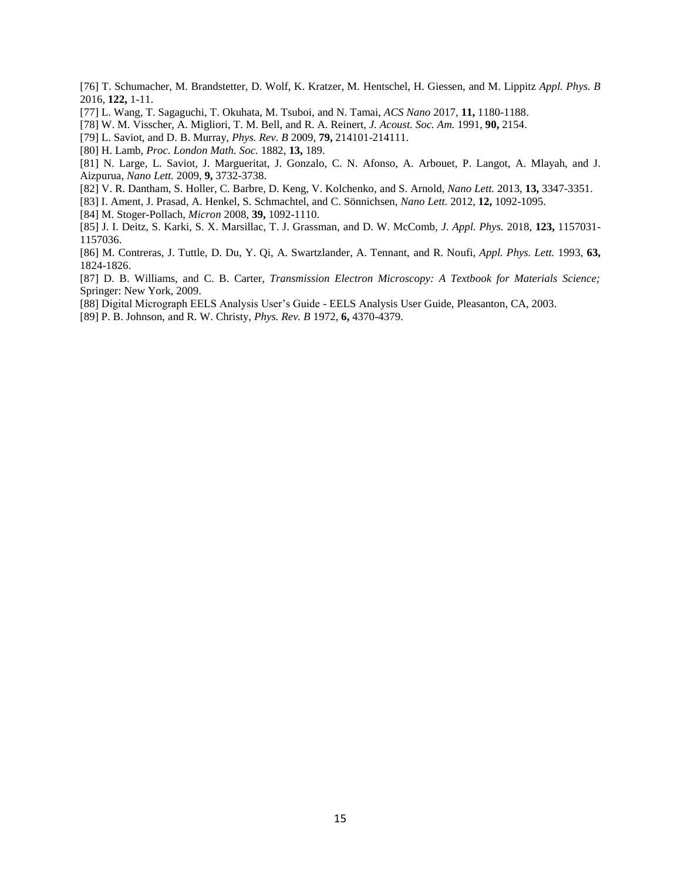- [76] T. Schumacher, M. Brandstetter, D. Wolf, K. Kratzer, M. Hentschel, H. Giessen, and M. Lippitz *Appl. Phys. B* 2016, **122,** 1-11.
- [77] L. Wang, T. Sagaguchi, T. Okuhata, M. Tsuboi, and N. Tamai, *ACS Nano* 2017, **11,** 1180-1188.
- [78] W. M. Visscher, A. Migliori, T. M. Bell, and R. A. Reinert, *J. Acoust. Soc. Am.* 1991, **90,** 2154.
- [79] L. Saviot, and D. B. Murray, *Phys. Rev. B* 2009, **79,** 214101-214111.
- [80] H. Lamb, *Proc. London Math. Soc.* 1882, **13,** 189.
- [81] N. Large, L. Saviot, J. Margueritat, J. Gonzalo, C. N. Afonso, A. Arbouet, P. Langot, A. Mlayah, and J. Aizpurua, *Nano Lett.* 2009, **9,** 3732-3738.
- [82] V. R. Dantham, S. Holler, C. Barbre, D. Keng, V. Kolchenko, and S. Arnold, *Nano Lett.* 2013, **13,** 3347-3351.
- [83] I[. Ament,](http://pubs.acs.org/author/Ament%2C+Irene) J[. Prasad,](http://pubs.acs.org/author/Prasad%2C+Janak) A[. Henkel,](http://pubs.acs.org/author/Henkel%2C+Andreas) S. [Schmachtel,](http://pubs.acs.org/author/Schmachtel%2C+Sebastian) and C. [Sönnichsen,](http://pubs.acs.org/author/S%C3%B6nnichsen%2C+Carsten) *Nano Lett.* 2012, **12,** 1092-1095.
- [84] M. Stoger-Pollach, *Micron* 2008, **39,** 1092-1110.
- [85] J. I. Deitz, S. Karki, S. X. Marsillac, T. J. Grassman, and D. W. McComb, *J. Appl. Phys.* 2018, **123,** 1157031- 1157036.
- [86] M. Contreras, J. Tuttle, D. Du, Y. Qi, A. Swartzlander, A. Tennant, and R. Noufi, *Appl. Phys. Lett.* 1993, **63,** 1824-1826.
- [87] D. B. Williams, and C. B. Carter, *Transmission Electron Microscopy: A Textbook for Materials Science;* Springer: New York, 2009.
- [88 Digital Micrograph EELS Analysis User's Guide EELS Analysis User Guide, Pleasanton, CA, 2003.
- [89] P. B. Johnson, and R. W. Christy, *Phys. Rev. B* 1972, **6,** 4370-4379.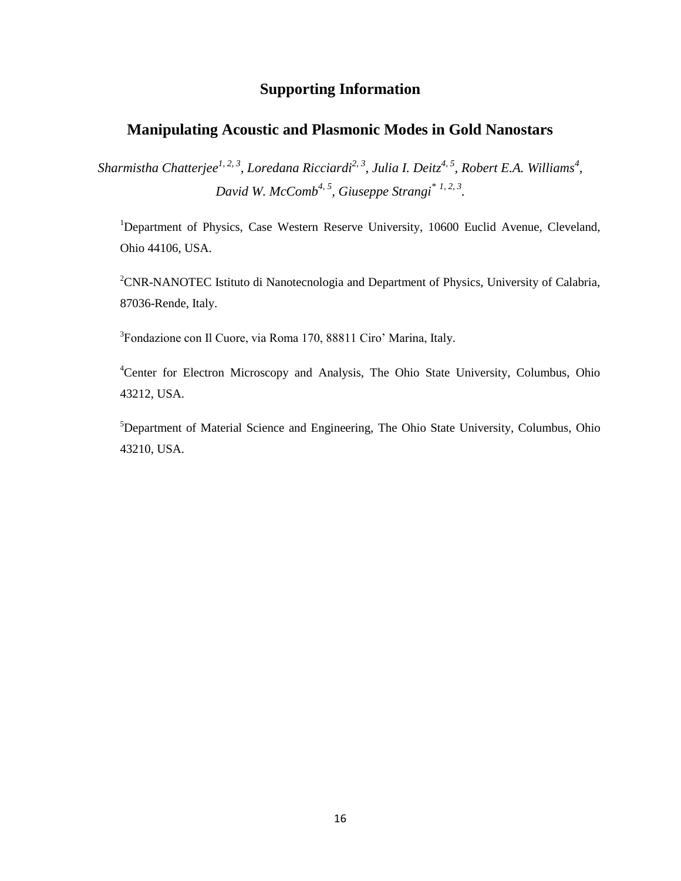# **Supporting Information**

# **Manipulating Acoustic and Plasmonic Modes in Gold Nanostars**

*Sharmistha Chatterjee1, 2, 3 , Loredana Ricciardi2, 3 , Julia I. Deitz4, 5 , Robert E.A. Williams<sup>4</sup> , David W. McComb4, 5 , Giuseppe Strangi\* 1, 2, 3 .*

<sup>1</sup>Department of Physics, Case Western Reserve University, 10600 Euclid Avenue, Cleveland, Ohio 44106, USA.

<sup>2</sup>CNR-NANOTEC Istituto di Nanotecnologia and Department of Physics, University of Calabria, 87036-Rende, Italy.

3 Fondazione con Il Cuore, via Roma 170, 88811 Ciro' Marina, Italy.

<sup>4</sup>Center for Electron Microscopy and Analysis, The Ohio State University, Columbus, Ohio 43212, USA.

<sup>5</sup>Department of Material Science and Engineering, The Ohio State University, Columbus, Ohio 43210, USA.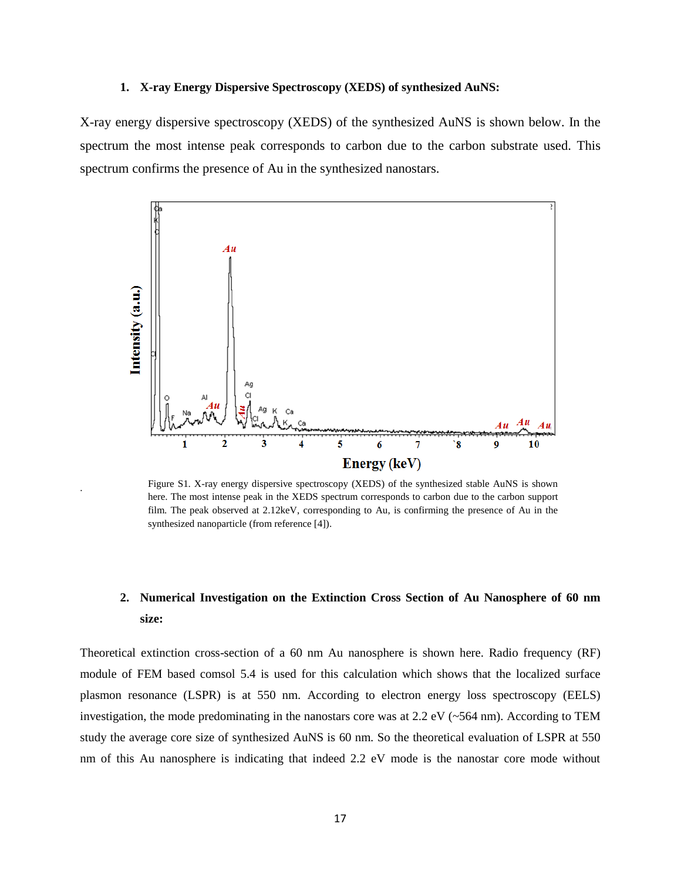#### **1. X-ray Energy Dispersive Spectroscopy (XEDS) of synthesized AuNS:**

X-ray energy dispersive spectroscopy (XEDS) of the synthesized AuNS is shown below. In the spectrum the most intense peak corresponds to carbon due to the carbon substrate used. This spectrum confirms the presence of Au in the synthesized nanostars.



Figure S1. X-ray energy dispersive spectroscopy (XEDS) of the synthesized stable AuNS is shown here. The most intense peak in the XEDS spectrum corresponds to carbon due to the carbon support film. The peak observed at 2.12keV, corresponding to Au, is confirming the presence of Au in the synthesized nanoparticle (from reference [4]).

.

# **2. Numerical Investigation on the Extinction Cross Section of Au Nanosphere of 60 nm size:**

Theoretical extinction cross-section of a 60 nm Au nanosphere is shown here. Radio frequency (RF) module of FEM based comsol 5.4 is used for this calculation which shows that the localized surface plasmon resonance (LSPR) is at 550 nm. According to electron energy loss spectroscopy (EELS) investigation, the mode predominating in the nanostars core was at 2.2 eV ( $\sim$ 564 nm). According to TEM study the average core size of synthesized AuNS is 60 nm. So the theoretical evaluation of LSPR at 550 nm of this Au nanosphere is indicating that indeed 2.2 eV mode is the nanostar core mode without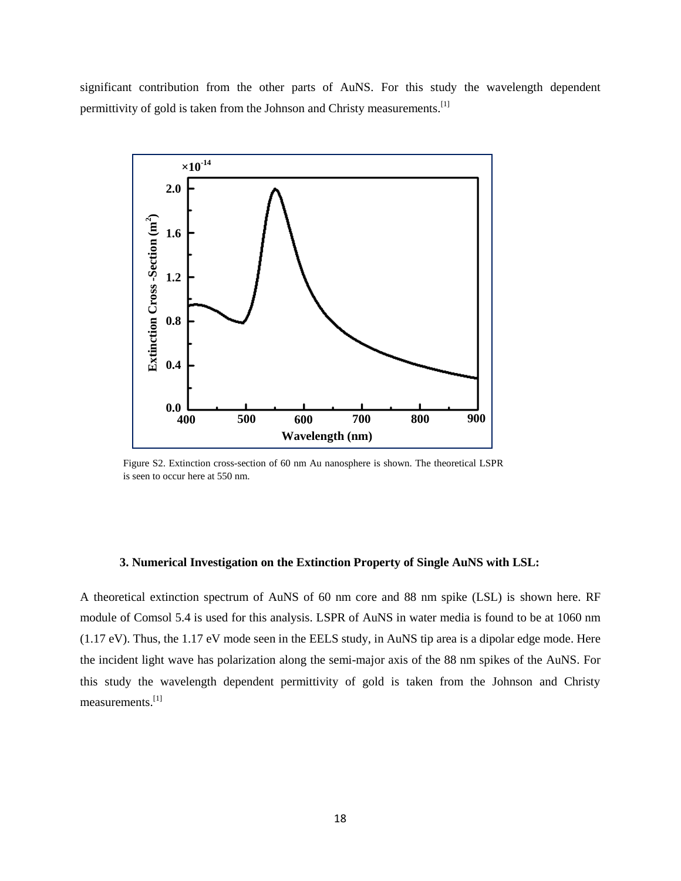significant contribution from the other parts of AuNS. For this study the wavelength dependent permittivity of gold is taken from the Johnson and Christy measurements.<sup>[1]</sup>



Figure S2. Extinction cross-section of 60 nm Au nanosphere is shown. The theoretical LSPR is seen to occur here at 550 nm.

# **3. Numerical Investigation on the Extinction Property of Single AuNS with LSL:**

A theoretical extinction spectrum of AuNS of 60 nm core and 88 nm spike (LSL) is shown here. RF module of Comsol 5.4 is used for this analysis. LSPR of AuNS in water media is found to be at 1060 nm (1.17 eV). Thus, the 1.17 eV mode seen in the EELS study, in AuNS tip area is a dipolar edge mode. Here the incident light wave has polarization along the semi-major axis of the 88 nm spikes of the AuNS. For this study the wavelength dependent permittivity of gold is taken from the Johnson and Christy measurements.[1]